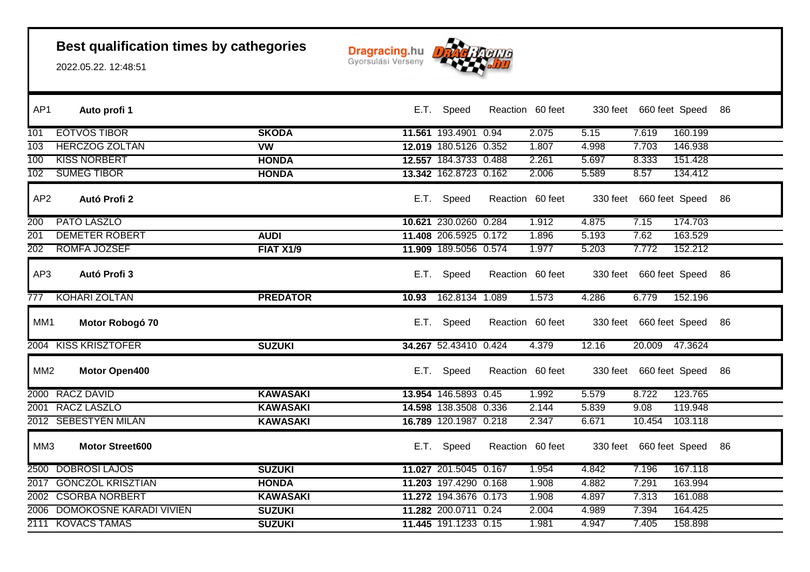

| AP <sub>1</sub> | Auto profi 1                 |                  |       | E.T. Speed            | Reaction 60 feet |       | 330 feet 660 feet Speed 86 |         |    |
|-----------------|------------------------------|------------------|-------|-----------------------|------------------|-------|----------------------------|---------|----|
| 101             | <b>EOTVOS TIBOR</b>          | <b>SKODA</b>     |       | 11.561 193.4901 0.94  | 2.075            | 5.15  | 7.619                      | 160.199 |    |
| 103             | <b>HERCZOG ZOLTAN</b>        | <b>VW</b>        |       | 12.019 180.5126 0.352 | 1.807            | 4.998 | 7.703                      | 146.938 |    |
| 100             | <b>KISS NORBERT</b>          | <b>HONDA</b>     |       | 12.557 184.3733 0.488 | 2.261            | 5.697 | 8.333                      | 151.428 |    |
| 102             | <b>SUMEG TIBOR</b>           | <b>HONDA</b>     |       | 13.342 162.8723 0.162 | 2.006            | 5.589 | 8.57                       | 134.412 |    |
| AP <sub>2</sub> | Autó Profi 2                 |                  |       | E.T. Speed            | Reaction 60 feet |       | 330 feet 660 feet Speed    |         | 86 |
| 200             | PATO LASZLO                  |                  |       | 10.621 230.0260 0.284 | 1.912            | 4.875 | 7.15                       | 174.703 |    |
| 201             | <b>DEMETER ROBERT</b>        | <b>AUDI</b>      |       | 11.408 206.5925 0.172 | 1.896            | 5.193 | 7.62                       | 163.529 |    |
| 202             | ROMFA JOZSEF                 | <b>FIAT X1/9</b> |       | 11.909 189.5056 0.574 | 1.977            | 5.203 | 7.772                      | 152.212 |    |
| AP3             | Autó Profi 3                 |                  |       | E.T. Speed            | Reaction 60 feet |       | 330 feet 660 feet Speed    |         | 86 |
| 777             | <b>KOHARI ZOLTAN</b>         | <b>PREDATOR</b>  | 10.93 | 162.8134 1.089        | 1.573            | 4.286 | 6.779                      | 152.196 |    |
| MM1             | Motor Robogó 70              |                  |       | E.T. Speed            | Reaction 60 feet |       | 330 feet 660 feet Speed    |         | 86 |
|                 | 2004 KISS KRISZTOFER         | <b>SUZUKI</b>    |       | 34.267 52.43410 0.424 | 4.379            | 12.16 | 20.009 47.3624             |         |    |
| MM <sub>2</sub> | Motor Open400                |                  |       | E.T. Speed            | Reaction 60 feet |       | 330 feet 660 feet Speed    |         | 86 |
|                 | 2000 RACZ DAVID              | <b>KAWASAKI</b>  |       | 13.954 146.5893 0.45  | 1.992            | 5.579 | 8.722                      | 123.765 |    |
|                 | 2001 RACZ LASZLO             | <b>KAWASAKI</b>  |       | 14.598 138.3508 0.336 | 2.144            | 5.839 | 9.08                       | 119.948 |    |
|                 | 2012 SEBESTYEN MILAN         | <b>KAWASAKI</b>  |       | 16.789 120.1987 0.218 | 2.347            | 6.671 | 10.454                     | 103.118 |    |
| MM3             | <b>Motor Street600</b>       |                  |       | E.T. Speed            | Reaction 60 feet |       | 330 feet 660 feet Speed    |         | 86 |
|                 | 2500 DOBROSI LAJOS           | <b>SUZUKI</b>    |       | 11.027 201.5045 0.167 | 1.954            | 4.842 | 7.196                      | 167.118 |    |
|                 | 2017 GONCZOL KRISZTIAN       | <b>HONDA</b>     |       | 11.203 197.4290 0.168 | 1.908            | 4.882 | 7.291                      | 163.994 |    |
|                 | 2002 CSORBA NORBERT          | <b>KAWASAKI</b>  |       | 11.272 194.3676 0.173 | 1.908            | 4.897 | 7.313                      | 161.088 |    |
|                 | 2006 DOMOKOSNÉ KARÁDI VIVIEN | <b>SUZUKI</b>    |       | 11.282 200.0711 0.24  | 2.004            | 4.989 | 7.394                      | 164.425 |    |
|                 | 2111 KOVACS TAMAS            | <b>SUZUKI</b>    |       | 11.445 191.1233 0.15  | 1.981            | 4.947 | 7.405                      | 158.898 |    |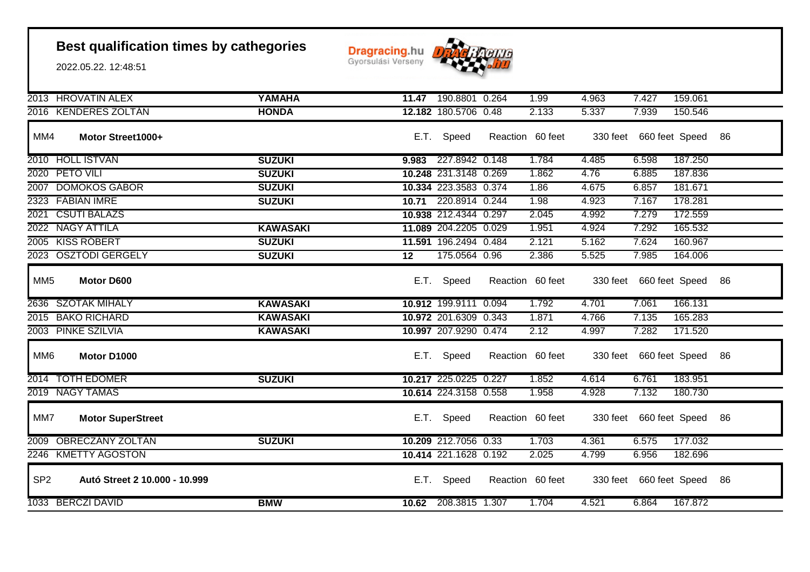

|                 | 2013 HROVATIN ALEX            | <b>YAMAHA</b>   |                 | 11.47 190.8801 0.264  | 1.99             | 4.963 | 7.427                      | 159.061 |    |
|-----------------|-------------------------------|-----------------|-----------------|-----------------------|------------------|-------|----------------------------|---------|----|
|                 | 2016 KENDERES ZOLTAN          | <b>HONDA</b>    |                 | 12.182 180.5706 0.48  | 2.133            | 5.337 | 7.939                      | 150.546 |    |
| MM4             | Motor Street1000+             |                 | E.T.            | Speed                 | Reaction 60 feet |       | 330 feet 660 feet Speed    |         | 86 |
|                 | 2010 HOLL ISTVAN              | <b>SUZUKI</b>   | 9.983           | 227.8942 0.148        | 1.784            | 4.485 | 6.598                      | 187.250 |    |
|                 | 2020 PETO VILI                | <b>SUZUKI</b>   |                 | 10.248 231.3148 0.269 | 1.862            | 4.76  | 6.885                      | 187.836 |    |
|                 | 2007 DOMOKOS GABOR            | <b>SUZUKI</b>   |                 | 10.334 223.3583 0.374 | 1.86             | 4.675 | 6.857                      | 181.671 |    |
|                 | 2323 FÁBIÁN IMRE              | <b>SUZUKI</b>   |                 | 10.71 220.8914 0.244  | 1.98             | 4.923 | 7.167                      | 178.281 |    |
|                 | 2021 CSUTI BALAZS             |                 |                 | 10.938 212.4344 0.297 | 2.045            | 4.992 | 7.279                      | 172.559 |    |
|                 | 2022 NAGY ATTILA              | <b>KAWASAKI</b> |                 | 11.089 204.2205 0.029 | 1.951            | 4.924 | 7.292                      | 165.532 |    |
|                 | 2005 KISS ROBERT              | <b>SUZUKI</b>   |                 | 11.591 196.2494 0.484 | 2.121            | 5.162 | 7.624                      | 160.967 |    |
|                 | 2023 OSZTODI GERGELY          | <b>SUZUKI</b>   | $\overline{12}$ | 175.0564 0.96         | 2.386            | 5.525 | 7.985                      | 164.006 |    |
| MM <sub>5</sub> | Motor D600                    |                 | E.T.            | Speed                 | Reaction 60 feet |       | 330 feet 660 feet Speed 86 |         |    |
|                 | 2636 SZOTAK MIHALY            | <b>KAWASAKI</b> |                 | 10.912 199.9111 0.094 | 1.792            | 4.701 | 7.061                      | 166.131 |    |
|                 | 2015 BAKO RICHARD             | <b>KAWASAKI</b> |                 | 10.972 201.6309 0.343 | 1.871            | 4.766 | 7.135                      | 165.283 |    |
|                 | 2003 PINKE SZILVIA            | <b>KAWASAKI</b> |                 | 10.997 207.9290 0.474 | 2.12             | 4.997 | 7.282                      | 171.520 |    |
| MM <sub>6</sub> | Motor D1000                   |                 |                 | E.T. Speed            | Reaction 60 feet |       | 330 feet 660 feet Speed    |         | 86 |
|                 | 2014 TOTH EDOMER              | <b>SUZUKI</b>   |                 | 10.217 225.0225 0.227 | 1.852            | 4.614 | 6.761                      | 183.951 |    |
|                 | 2019 NAGY TAMAS               |                 |                 | 10.614 224.3158 0.558 | 1.958            | 4.928 | 7.132                      | 180.730 |    |
| MM7             | <b>Motor SuperStreet</b>      |                 | E.T.            | Speed                 | Reaction 60 feet |       | 330 feet 660 feet Speed 86 |         |    |
|                 | 2009 OBRECZÁNY ZOLTÁN         | <b>SUZUKI</b>   |                 | 10.209 212.7056 0.33  | 1.703            | 4.361 | 6.575                      | 177.032 |    |
|                 | 2246 KMETTY AGOSTON           |                 |                 | 10.414 221.1628 0.192 | 2.025            | 4.799 | 6.956                      | 182.696 |    |
| SP <sub>2</sub> | Autó Street 2 10.000 - 10.999 |                 | E.T.            | Speed                 | Reaction 60 feet |       | 330 feet 660 feet Speed    |         | 86 |
|                 | 1033 BERCZI DAVID             | <b>BMW</b>      | 10.62           | 208.3815 1.307        | 1.704            | 4.521 | 6.864                      | 167.872 |    |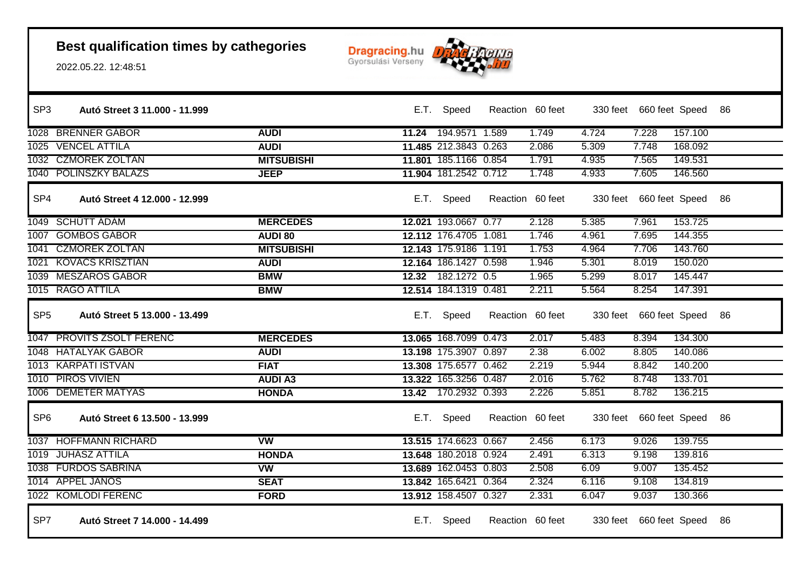

| SP <sub>3</sub> | Autó Street 3 11.000 - 11.999 |                   |       | E.T. Speed            | Reaction 60 feet |       |       | 330 feet 660 feet Speed 86 |         |  |
|-----------------|-------------------------------|-------------------|-------|-----------------------|------------------|-------|-------|----------------------------|---------|--|
|                 | 1028 BRENNER GABOR            | <b>AUDI</b>       | 11.24 | 194.9571 1.589        |                  | 1.749 | 4.724 | 7.228                      | 157.100 |  |
|                 | 1025 VENCEL ATTILA            | <b>AUDI</b>       |       | 11.485 212.3843 0.263 |                  | 2.086 | 5.309 | 7.748                      | 168.092 |  |
|                 | 1032 CZMOREK ZOLTAN           | <b>MITSUBISHI</b> |       | 11.801 185.1166 0.854 |                  | 1.791 | 4.935 | 7.565                      | 149.531 |  |
|                 | 1040 POLINSZKY BALAZS         | <b>JEEP</b>       |       | 11.904 181.2542 0.712 |                  | 1.748 | 4.933 | 7.605                      | 146.560 |  |
| SP <sub>4</sub> | Autó Street 4 12.000 - 12.999 |                   |       | E.T. Speed            | Reaction 60 feet |       |       | 330 feet 660 feet Speed 86 |         |  |
|                 | 1049 SCHUTT ADAM              | <b>MERCEDES</b>   |       | 12.021 193.0667 0.77  |                  | 2.128 | 5.385 | 7.961                      | 153.725 |  |
|                 | 1007 GOMBOS GÁBOR             | <b>AUDI 80</b>    |       | 12.112 176.4705 1.081 |                  | 1.746 | 4.961 | 7.695                      | 144.355 |  |
|                 | 1041 CZMOREK ZOLTAN           | <b>MITSUBISHI</b> |       | 12.143 175.9186 1.191 |                  | 1.753 | 4.964 | 7.706                      | 143.760 |  |
|                 | 1021 KOVACS KRISZTIAN         | <b>AUDI</b>       |       | 12.164 186.1427 0.598 |                  | 1.946 | 5.301 | 8.019                      | 150.020 |  |
|                 | 1039 MESZAROS GABOR           | <b>BMW</b>        |       | 12.32 182.1272 0.5    |                  | 1.965 | 5.299 | 8.017                      | 145.447 |  |
|                 | 1015 RAGO ATTILA              | <b>BMW</b>        |       | 12.514 184.1319 0.481 |                  | 2.211 | 5.564 | 8.254                      | 147.391 |  |
| SP <sub>5</sub> | Autó Street 5 13.000 - 13.499 |                   |       | E.T. Speed            | Reaction 60 feet |       |       | 330 feet 660 feet Speed 86 |         |  |
|                 | 1047 PROVITS ZSOLT FERENC     | <b>MERCEDES</b>   |       | 13.065 168.7099 0.473 |                  | 2.017 | 5.483 | 8.394                      | 134.300 |  |
|                 | 1048 HATALYAK GABOR           | <b>AUDI</b>       |       | 13.198 175.3907 0.897 |                  | 2.38  | 6.002 | 8.805                      | 140.086 |  |
|                 | 1013 KARPATI ISTVAN           | <b>FIAT</b>       |       | 13.308 175.6577 0.462 |                  | 2.219 | 5.944 | 8.842                      | 140.200 |  |
|                 | 1010 PIROS VIVIEN             | <b>AUDI A3</b>    |       | 13.322 165.3256 0.487 |                  | 2.016 | 5.762 | 8.748                      | 133.701 |  |
|                 | 1006 DEMETER MATYAS           | <b>HONDA</b>      |       | 13.42 170.2932 0.393  |                  | 2.226 | 5.851 | 8.782                      | 136.215 |  |
| SP <sub>6</sub> | Autó Street 6 13.500 - 13.999 |                   |       | E.T. Speed            | Reaction 60 feet |       |       | 330 feet 660 feet Speed 86 |         |  |
|                 | 1037 HOFFMANN RICHARD         | <b>VW</b>         |       | 13.515 174.6623 0.667 |                  | 2.456 | 6.173 | 9.026                      | 139.755 |  |
|                 | 1019 JUHASZ ATTILA            | <b>HONDA</b>      |       | 13.648 180.2018 0.924 |                  | 2.491 | 6.313 | 9.198                      | 139.816 |  |
|                 | 1038 FURDOS SABRINA           | <b>VW</b>         |       | 13.689 162.0453 0.803 |                  | 2.508 | 6.09  | 9.007                      | 135.452 |  |
|                 | 1014 APPEL JANOS              | <b>SEAT</b>       |       | 13.842 165.6421 0.364 |                  | 2.324 | 6.116 | 9.108                      | 134.819 |  |
|                 | 1022 KOMLODI FERENC           | <b>FORD</b>       |       | 13.912 158.4507 0.327 |                  | 2.331 | 6.047 | 9.037                      | 130.366 |  |
| SP7             | Autó Street 7 14.000 - 14.499 |                   |       | E.T. Speed            | Reaction 60 feet |       |       | 330 feet 660 feet Speed 86 |         |  |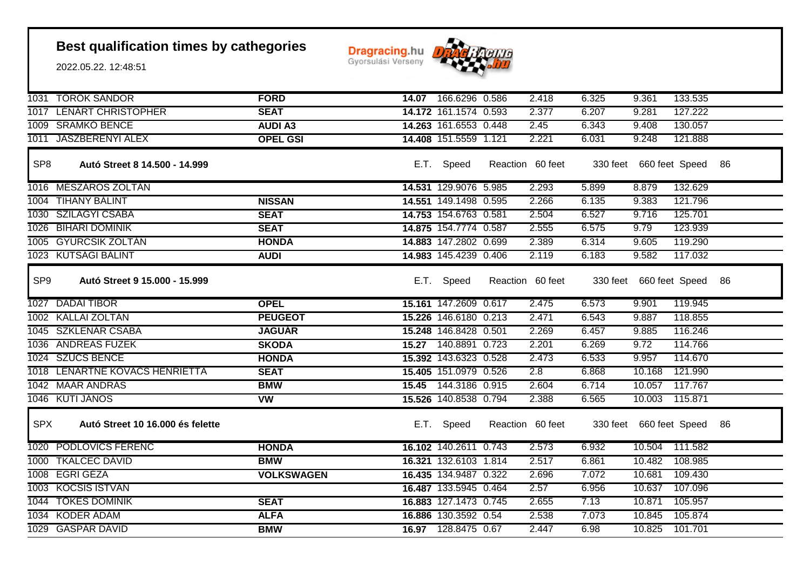

|                 | 1031 TOROK SANDOR                | <b>FORD</b>       | 14.07 166.6296 0.586  | 2.418            | 6.325 | 9.361                      | 133.535 |  |
|-----------------|----------------------------------|-------------------|-----------------------|------------------|-------|----------------------------|---------|--|
|                 | 1017 LENART CHRISTOPHER          | <b>SEAT</b>       | 14.172 161.1574 0.593 | 2.377            | 6.207 | 9.281                      | 127.222 |  |
|                 | 1009 SRAMKO BENCE                | <b>AUDI A3</b>    | 14.263 161.6553 0.448 | 2.45             | 6.343 | 9.408                      | 130.057 |  |
|                 | 1011 JASZBERENYI ALEX            | <b>OPEL GSI</b>   | 14.408 151.5559 1.121 | 2.221            | 6.031 | 9.248                      | 121.888 |  |
|                 |                                  |                   |                       |                  |       |                            |         |  |
| SP <sub>8</sub> | Autó Street 8 14.500 - 14.999    |                   | E.T. Speed            | Reaction 60 feet |       | 330 feet 660 feet Speed 86 |         |  |
|                 | 1016 MESZAROS ZOLTAN             |                   | 14.531 129.9076 5.985 | 2.293            | 5.899 | 8.879                      | 132.629 |  |
|                 | 1004 TIHANY BÁLINT               | <b>NISSAN</b>     | 14.551 149.1498 0.595 | 2.266            | 6.135 | 9.383                      | 121.796 |  |
|                 | 1030 SZILAGYI CSABA              | <b>SEAT</b>       | 14.753 154.6763 0.581 | 2.504            | 6.527 | 9.716                      | 125.701 |  |
|                 | 1026 BIHARI DOMINIK              | <b>SEAT</b>       | 14.875 154.7774 0.587 | 2.555            | 6.575 | 9.79                       | 123.939 |  |
|                 | 1005 GYURCSIK ZOLTAN             | <b>HONDA</b>      | 14.883 147.2802 0.699 | 2.389            | 6.314 | 9.605                      | 119.290 |  |
|                 | 1023 KUTSAGI BALINT              | <b>AUDI</b>       | 14.983 145.4239 0.406 | 2.119            | 6.183 | 9.582                      | 117.032 |  |
| SP <sub>9</sub> | Autó Street 9 15.000 - 15.999    |                   | E.T. Speed            | Reaction 60 feet |       | 330 feet 660 feet Speed 86 |         |  |
|                 | 1027 DADAI TIBOR                 | <b>OPEL</b>       | 15.161 147.2609 0.617 | 2.475            | 6.573 | 9.901                      | 119.945 |  |
|                 | 1002 KALLAI ZOLTAN               | <b>PEUGEOT</b>    | 15.226 146.6180 0.213 | 2.471            | 6.543 | 9.887                      | 118.855 |  |
|                 | 1045 SZKLENAR CSABA              | <b>JAGUAR</b>     | 15.248 146.8428 0.501 | 2.269            | 6.457 | 9.885                      | 116.246 |  |
|                 | 1036 ANDREAS FUZEK               | <b>SKODA</b>      | 15.27 140.8891 0.723  | 2.201            | 6.269 | 9.72                       | 114.766 |  |
|                 | 1024 SZÜCS BENCE                 | <b>HONDA</b>      | 15.392 143.6323 0.528 | 2.473            | 6.533 | 9.957                      | 114.670 |  |
|                 | 1018 LÉNÁRTNÉ KOVÁCS HENRIETTA   | <b>SEAT</b>       | 15.405 151.0979 0.526 | 2.8              | 6.868 | 10.168                     | 121.990 |  |
|                 | 1042 MAAR ANDRAS                 | <b>BMW</b>        | 15.45 144.3186 0.915  | 2.604            | 6.714 | 10.057 117.767             |         |  |
|                 | 1046 KUTI JANOS                  | <b>VW</b>         | 15.526 140.8538 0.794 | 2.388            | 6.565 | 10.003 115.871             |         |  |
| <b>SPX</b>      | Autó Street 10 16.000 és felette |                   | E.T. Speed            | Reaction 60 feet |       | 330 feet 660 feet Speed 86 |         |  |
|                 | 1020 PODLOVICS FERENC            | <b>HONDA</b>      | 16.102 140.2611 0.743 | 2.573            | 6.932 | 10.504                     | 111.582 |  |
|                 | 1000 TKALCEC DAVID               | <b>BMW</b>        | 16.321 132.6103 1.814 | 2.517            | 6.861 | 10.482                     | 108.985 |  |
|                 | 1008 EGRI GEZA                   | <b>VOLKSWAGEN</b> | 16.435 134.9487 0.322 | 2.696            | 7.072 | 10.681                     | 109.430 |  |
|                 | 1003 KOCSIS ISTVÁN               |                   | 16.487 133.5945 0.464 | 2.57             | 6.956 | 10.637                     | 107.096 |  |
|                 | 1044 TÖKES DOMINIK               | <b>SEAT</b>       | 16.883 127.1473 0.745 | 2.655            | 7.13  | 10.871                     | 105.957 |  |
|                 | 1034 KODER ADAM                  | <b>ALFA</b>       | 16.886 130.3592 0.54  | 2.538            | 7.073 | 10.845                     | 105.874 |  |
|                 | 1029 GASPAR DAVID                | <b>BMW</b>        | 16.97 128.8475 0.67   | 2.447            | 6.98  | 10.825                     | 101.701 |  |
|                 |                                  |                   |                       |                  |       |                            |         |  |